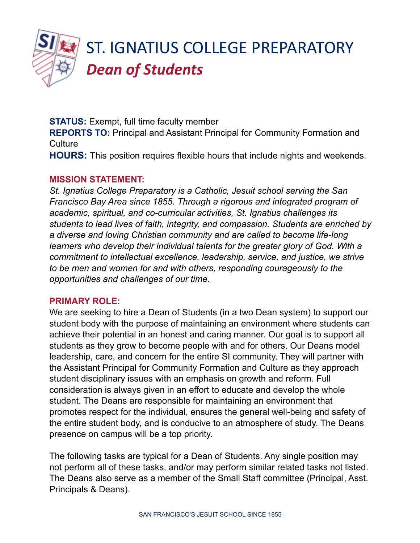

**STATUS:** Exempt, full time faculty member **REPORTS TO:** Principal and Assistant Principal for Community Formation and **Culture HOURS:** This position requires flexible hours that include nights and weekends.

#### **MISSION STATEMENT:**

*St. Ignatius College Preparatory is a Catholic, Jesuit school serving the San Francisco Bay Area since 1855. Through a rigorous and integrated program of academic, spiritual, and co-curricular activities, St. Ignatius challenges its students to lead lives of faith, integrity, and compassion. Students are enriched by a diverse and loving Christian community and are called to become life-long learners who develop their individual talents for the greater glory of God. With a commitment to intellectual excellence, leadership, service, and justice, we strive to be men and women for and with others, responding courageously to the opportunities and challenges of our time.*

#### **PRIMARY ROLE:**

We are seeking to hire a Dean of Students (in a two Dean system) to support our student body with the purpose of maintaining an environment where students can achieve their potential in an honest and caring manner. Our goal is to support all students as they grow to become people with and for others. Our Deans model leadership, care, and concern for the entire SI community. They will partner with the Assistant Principal for Community Formation and Culture as they approach student disciplinary issues with an emphasis on growth and reform. Full consideration is always given in an effort to educate and develop the whole student. The Deans are responsible for maintaining an environment that promotes respect for the individual, ensures the general well-being and safety of the entire student body, and is conducive to an atmosphere of study. The Deans presence on campus will be a top priority.

The following tasks are typical for a Dean of Students. Any single position may not perform all of these tasks, and/or may perform similar related tasks not listed. The Deans also serve as a member of the Small Staff committee (Principal, Asst. Principals & Deans).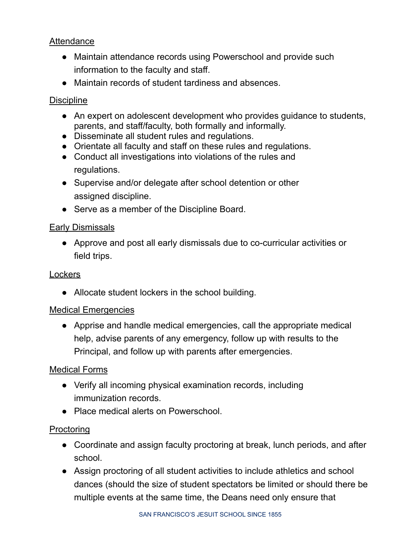# **Attendance**

- Maintain attendance records using Powerschool and provide such information to the faculty and staff.
- Maintain records of student tardiness and absences.

## **Discipline**

- An expert on adolescent development who provides guidance to students, parents, and staff/faculty, both formally and informally.
- Disseminate all student rules and regulations.
- Orientate all faculty and staff on these rules and regulations.
- Conduct all investigations into violations of the rules and regulations.
- Supervise and/or delegate after school detention or other assigned discipline.
- Serve as a member of the Discipline Board.

#### Early Dismissals

● Approve and post all early dismissals due to co-curricular activities or field trips.

#### **Lockers**

• Allocate student lockers in the school building.

#### Medical Emergencies

● Apprise and handle medical emergencies, call the appropriate medical help, advise parents of any emergency, follow up with results to the Principal, and follow up with parents after emergencies.

## Medical Forms

- Verify all incoming physical examination records, including immunization records.
- Place medical alerts on Powerschool.

## **Proctoring**

- Coordinate and assign faculty proctoring at break, lunch periods, and after school.
- Assign proctoring of all student activities to include athletics and school dances (should the size of student spectators be limited or should there be multiple events at the same time, the Deans need only ensure that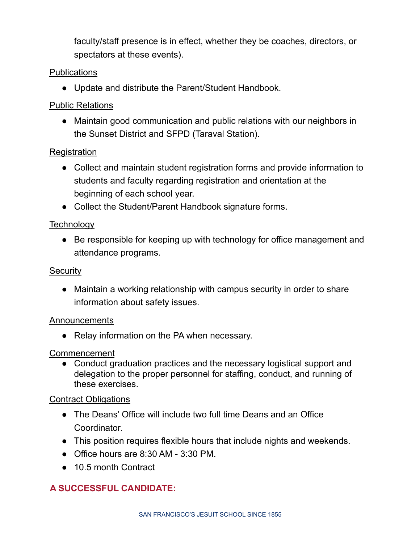faculty/staff presence is in effect, whether they be coaches, directors, or spectators at these events).

# **Publications**

● Update and distribute the Parent/Student Handbook.

# Public Relations

● Maintain good communication and public relations with our neighbors in the Sunset District and SFPD (Taraval Station).

# **Registration**

- Collect and maintain student registration forms and provide information to students and faculty regarding registration and orientation at the beginning of each school year.
- Collect the Student/Parent Handbook signature forms.

# **Technology**

● Be responsible for keeping up with technology for office management and attendance programs.

# **Security**

● Maintain a working relationship with campus security in order to share information about safety issues.

## Announcements

● Relay information on the PA when necessary.

## Commencement

• Conduct graduation practices and the necessary logistical support and delegation to the proper personnel for staffing, conduct, and running of these exercises.

## Contract Obligations

- The Deans' Office will include two full time Deans and an Office Coordinator.
- This position requires flexible hours that include nights and weekends.
- $\bullet$  Office hours are 8:30 AM 3:30 PM.
- 10.5 month Contract

# **A SUCCESSFUL CANDIDATE:**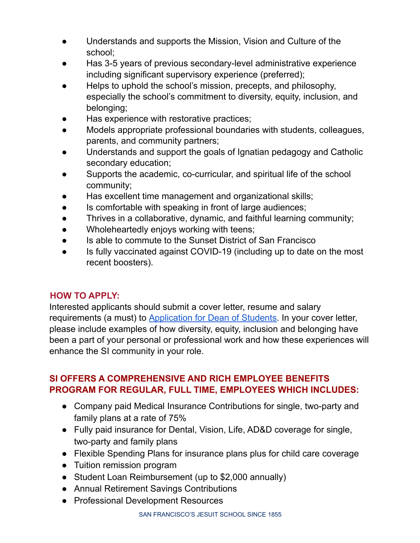- Understands and supports the Mission, Vision and Culture of the school;
- Has 3-5 years of previous secondary-level administrative experience including significant supervisory experience (preferred);
- Helps to uphold the school's mission, precepts, and philosophy, especially the school's commitment to diversity, equity, inclusion, and belonging;
- Has experience with restorative practices;
- Models appropriate professional boundaries with students, colleagues, parents, and community partners;
- Understands and support the goals of Ignatian pedagogy and Catholic secondary education;
- Supports the academic, co-curricular, and spiritual life of the school community;
- Has excellent time management and organizational skills;
- Is comfortable with speaking in front of large audiences;
- Thrives in a collaborative, dynamic, and faithful learning community;
- Wholeheartedly enjoys working with teens;
- Is able to commute to the Sunset District of San Francisco
- Is fully vaccinated against COVID-19 (including up to date on the most recent boosters).

## **HOW TO APPLY:**

Interested applicants should submit a cover letter, resume and salary requirements (a must) to [Application](https://forms.gle/xMrGCcx4f2HvSFbE7) for Dean of Students. In your cover letter, please include examples of how diversity, equity, inclusion and belonging have been a part of your personal or professional work and how these experiences will enhance the SI community in your role.

# **SI OFFERS A COMPREHENSIVE AND RICH EMPLOYEE BENEFITS PROGRAM FOR REGULAR, FULL TIME, EMPLOYEES WHICH INCLUDES:**

- Company paid Medical Insurance Contributions for single, two-party and family plans at a rate of 75%
- Fully paid insurance for Dental, Vision, Life, AD&D coverage for single, two-party and family plans
- Flexible Spending Plans for insurance plans plus for child care coverage
- Tuition remission program
- Student Loan Reimbursement (up to \$2,000 annually)
- Annual Retirement Savings Contributions
- Professional Development Resources